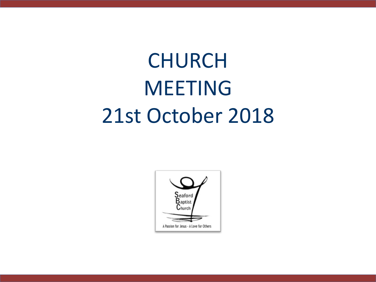# CHURCH MEETING 21st October 2018

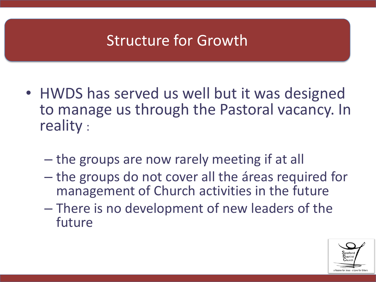# Structure for Growth

- HWDS has served us well but it was designed to manage us through the Pastoral vacancy. In reality :
	- the groups are now rarely meeting if at all
	- the groups do not cover all the áreas required for management of Church activities in the future
	- There is no development of new leaders of the future

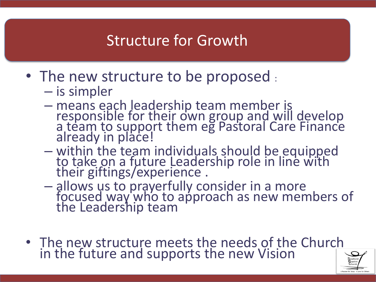# Structure for Growth

- The new structure to be proposed :
	- is simpler
	- means each leadership team member is responsible for their own group and will develop a team to support them eg Pastoral Care Finance already in place!
	- within the team individuals should be equipped to take on a future Leadership role in line with their giftings/experience .
	- allows us to prayerfully consider in a more focused way who to approach as new members of the Leadership team
- The new structure meets the needs of the Church in the future and supports the new Vision

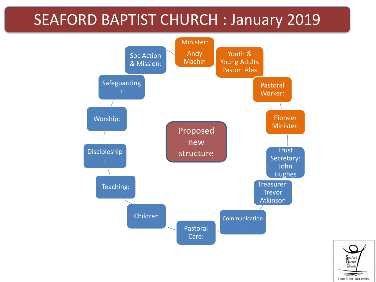#### SEAFORD BAPTIST CHURCH : January 2019



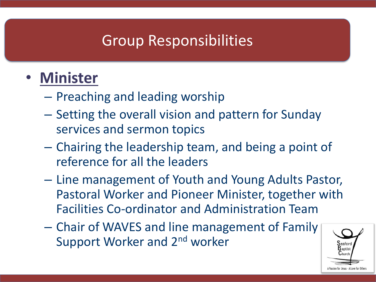# • **Minister**

- Preaching and leading worship
- Setting the overall vision and pattern for Sunday services and sermon topics
- Chairing the leadership team, and being a point of reference for all the leaders
- Line management of Youth and Young Adults Pastor, Pastoral Worker and Pioneer Minister, together with Facilities Co-ordinator and Administration Team
- Chair of WAVES and line management of Family Support Worker and 2nd worker

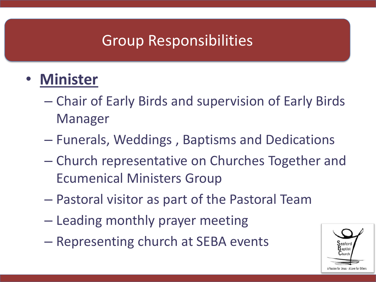- **Minister**
	- Chair of Early Birds and supervision of Early Birds Manager
	- Funerals, Weddings , Baptisms and Dedications
	- Church representative on Churches Together and Ecumenical Ministers Group
	- Pastoral visitor as part of the Pastoral Team
	- Leading monthly prayer meeting
	- Representing church at SEBA events

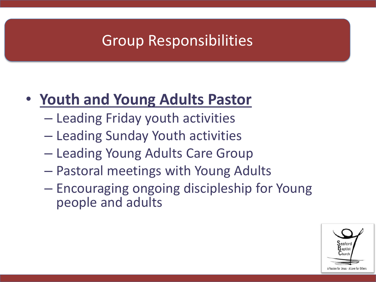# • **Youth and Young Adults Pastor**

- Leading Friday youth activities
- Leading Sunday Youth activities
- Leading Young Adults Care Group
- Pastoral meetings with Young Adults
- Encouraging ongoing discipleship for Young people and adults

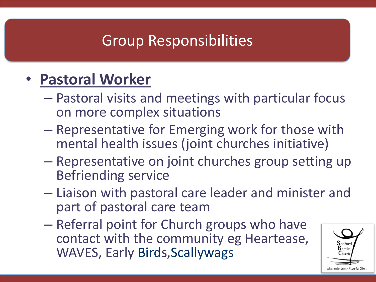# • **Pastoral Worker**

- Pastoral visits and meetings with particular focus on more complex situations
- Representative for Emerging work for those with mental health issues (joint churches initiative)
- Representative on joint churches group setting up Befriending service
- Liaison with pastoral care leader and minister and part of pastoral care team
- Referral point for Church groups who have contact with the community eg Heartease, WAVES, Early Birds, Scallywags

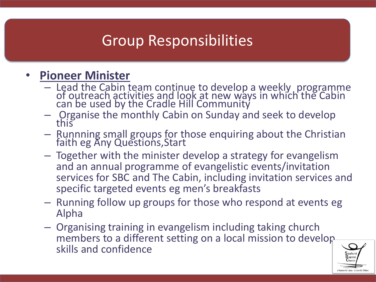#### • **Pioneer Minister**

- Lead the Cabin team continue to develop a weekly programme of outreach activities and look at new ways in which the Cabin can be used by the Cradle Hill Community
- Organise the monthly Cabin on Sunday and seek to develop this
- $-$  Runnning small groups for those enquiring about the Christian faith eg Any Questions, Start
- Together with the minister develop a strategy for evangelism and an annual programme of evangelistic events/invitation services for SBC and The Cabin, including invitation services and specific targeted events eg men's breakfasts
- Running follow up groups for those who respond at events eg Alpha
- Organising training in evangelism including taking church members to a different setting on a local mission to develop skills and confidence

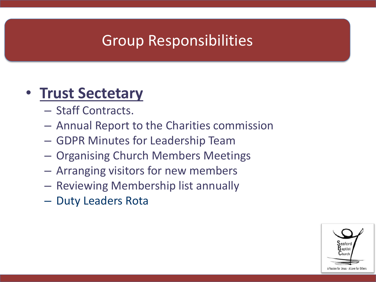#### • **Trust Sectetary**

- Staff Contracts.
- Annual Report to the Charities commission
- GDPR Minutes for Leadership Team
- Organising Church Members Meetings
- Arranging visitors for new members
- Reviewing Membership list annually
- Duty Leaders Rota

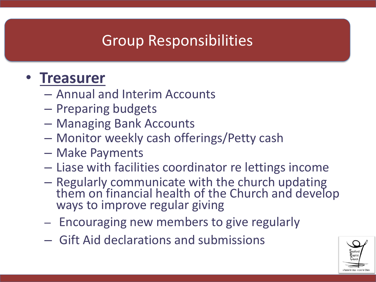#### • **Treasurer**

- Annual and Interim Accounts
- Preparing budgets
- Managing Bank Accounts
- Monitor weekly cash offerings/Petty cash
- Make Payments
- Liase with facilities coordinator re lettings income
- Regularly communicate with the church updating them on financial health of the Church and develop ways to improve regular giving
- Encouraging new members to give regularly
- Gift Aid declarations and submissions

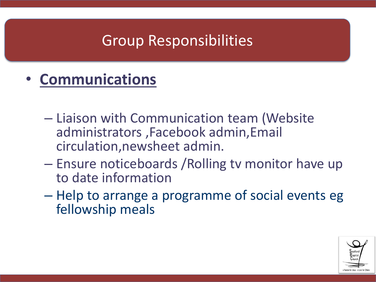- **Communications**
	- Liaison with Communication team (Website administrators ,Facebook admin,Email circulation,newsheet admin.
	- Ensure noticeboards /Rolling tv monitor have up to date information
	- Help to arrange a programme of social events eg fellowship meals

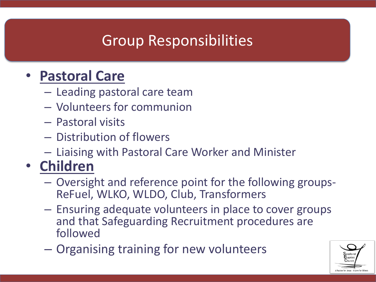#### • **Pastoral Care**

- Leading pastoral care team
- Volunteers for communion
- Pastoral visits
- Distribution of flowers
- Liaising with Pastoral Care Worker and Minister

# • **Children**

- Oversight and reference point for the following groups-ReFuel, WLKO, WLDO, Club, Transformers
- Ensuring adequate volunteers in place to cover groups and that Safeguarding Recruitment procedures are followed
- Organising training for new volunteers

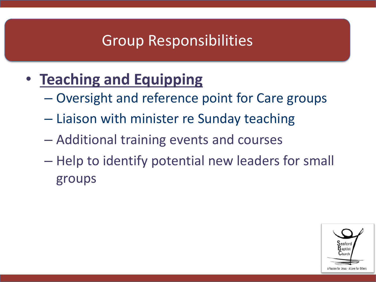- **Teaching and Equipping**
	- Oversight and reference point for Care groups
	- Liaison with minister re Sunday teaching
	- Additional training events and courses
	- Help to identify potential new leaders for small groups

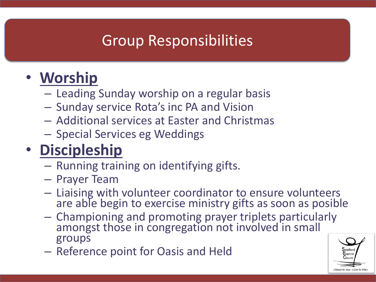# • **Worship**

- Leading Sunday worship on a regular basis
- Sunday service Rota's inc PA and Vision
- Additional services at Easter and Christmas
- Special Services eg Weddings

# • **Discipleship**

- Running training on identifying gifts.
- Prayer Team
- Liaising with volunteer coordinator to ensure volunteers are able begin to exercise ministry gifts as soon as posible
- Championing and promoting prayer triplets particularly amongst those in congregation not involved in small groups
- Reference point for Oasis and Held

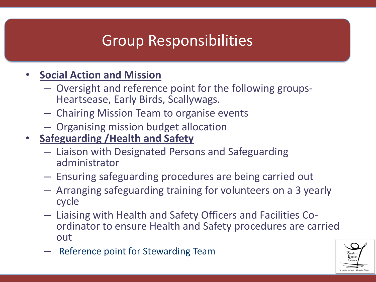#### • **Social Action and Mission**

- Oversight and reference point for the following groups-Heartsease, Early Birds, Scallywags.
- Chairing Mission Team to organise events
- Organising mission budget allocation
- **Safeguarding /Health and Safety**
	- Liaison with Designated Persons and Safeguarding administrator
	- Ensuring safeguarding procedures are being carried out
	- Arranging safeguarding training for volunteers on a 3 yearly cycle
	- Liaising with Health and Safety Officers and Facilities Coordinator to ensure Health and Safety procedures are carried out
	- Reference point for Stewarding Team

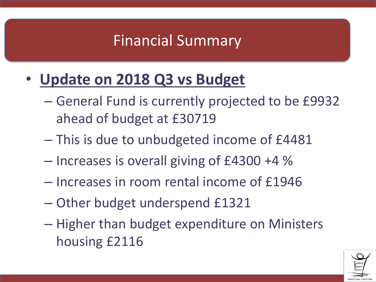# Financial Summary

- **Update on 2018 Q3 vs Budget**
	- General Fund is currently projected to be £9932 ahead of budget at £30719
	- This is due to unbudgeted income of £4481
	- Increases is overall giving of £4300 +4 %
	- Increases in room rental income of £1946
	- Other budget underspend £1321
	- Higher than budget expenditure on Ministers housing £2116